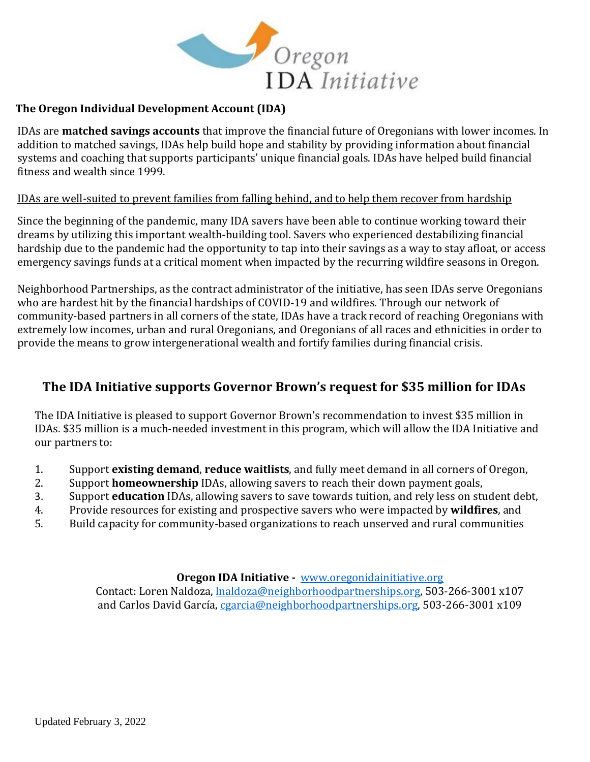

## **The Oregon Individual Development Account (IDA)**

IDAs are **matched savings accounts** that improve the financial future of Oregonians with lower incomes. In addition to matched savings, IDAs help build hope and stability by providing information about financial systems and coaching that supports participants' unique financial goals. IDAs have helped build financial fitness and wealth since 1999.

## IDAs are well-suited to prevent families from falling behind, and to help them recover from hardship

Since the beginning of the pandemic, many IDA savers have been able to continue working toward their dreams by utilizing this important wealth-building tool. Savers who experienced destabilizing financial hardship due to the pandemic had the opportunity to tap into their savings as a way to stay afloat, or access emergency savings funds at a critical moment when impacted by the recurring wildfire seasons in Oregon.

Neighborhood Partnerships, as the contract administrator of the initiative, has seen IDAs serve Oregonians who are hardest hit by the financial hardships of COVID-19 and wildfires. Through our network of community-based partners in all corners of the state, IDAs have a track record of reaching Oregonians with extremely low incomes, urban and rural Oregonians, and Oregonians of all races and ethnicities in order to provide the means to grow intergenerational wealth and fortify families during financial crisis.

## **The IDA Initiative supports Governor Brown's request for \$35 million for IDAs**

The IDA Initiative is pleased to support Governor Brown's recommendation to invest \$35 million in IDAs. \$35 million is a much-needed investment in this program, which will allow the IDA Initiative and our partners to:

- 1. Support **existing demand**, **reduce waitlists**, and fully meet demand in all corners of Oregon,
- 2. Support **homeownership** IDAs, allowing savers to reach their down payment goals,
- 3. Support **education** IDAs, allowing savers to save towards tuition, and rely less on student debt,
- 4. Provide resources for existing and prospective savers who were impacted by **wildfires**, and
- 5. Build capacity for community-based organizations to reach unserved and rural communities

**Oregon IDA Initiative -** [www.oregonidainitiative.org](http://www.oregonidainitiative.org/)

Contact: Loren Naldoza, [lnaldoza@neighborhoodpartnerships.org,](mailto:lnaldoza@neighborhoodpartnerships.org) 503-266-3001 x107 and Carlos David García[, cgarcia@neighborhoodpartnerships.org,](mailto:cgarcia@neighborhoodpartnerships.org) 503-266-3001 x109